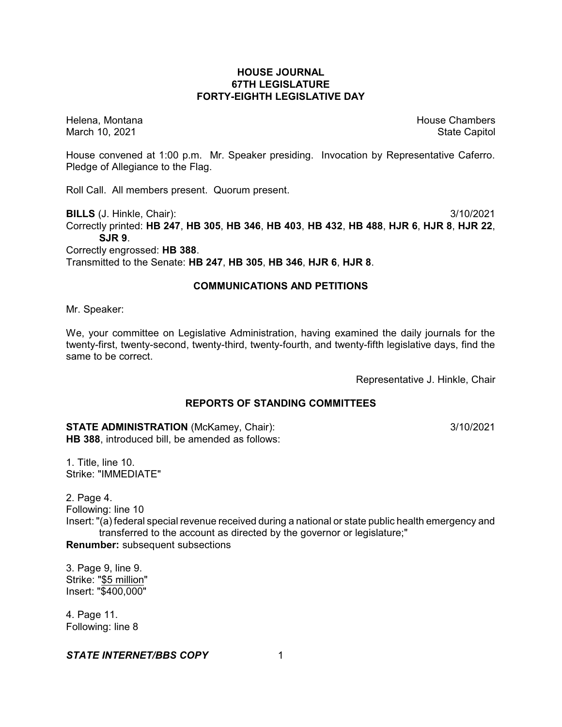# **HOUSE JOURNAL 67TH LEGISLATURE FORTY-EIGHTH LEGISLATIVE DAY**

Helena, Montana House Chambers Chambers Chambers and House Chambers Chambers Chambers Chambers Chambers Chambers Chambers Chambers Chambers Chambers Chambers Chambers Chambers Chambers Chambers Chambers Chambers Chambers C March 10, 2021 **State Capitol** State Capitol State Capitol State Capitol State Capitol State Capitol State Capitol

House convened at 1:00 p.m. Mr. Speaker presiding. Invocation by Representative Caferro. Pledge of Allegiance to the Flag.

Roll Call. All members present. Quorum present.

**BILLS** (J. Hinkle, Chair): 3/10/2021

Correctly printed: **HB 247**, **HB 305**, **HB 346**, **HB 403**, **HB 432**, **HB 488**, **HJR 6**, **HJR 8**, **HJR 22**, **SJR 9**.

Correctly engrossed: **HB 388**.

Transmitted to the Senate: **HB 247**, **HB 305**, **HB 346**, **HJR 6**, **HJR 8**.

### **COMMUNICATIONS AND PETITIONS**

Mr. Speaker:

We, your committee on Legislative Administration, having examined the daily journals for the twenty-first, twenty-second, twenty-third, twenty-fourth, and twenty-fifth legislative days, find the same to be correct.

Representative J. Hinkle, Chair

# **REPORTS OF STANDING COMMITTEES**

**STATE ADMINISTRATION** (McKamey, Chair): 3/10/2021 **HB 388**, introduced bill, be amended as follows:

1. Title, line 10. Strike: "IMMEDIATE"

2. Page 4. Following: line 10

Insert: "(a) federal special revenue received during a national or state public health emergency and transferred to the account as directed by the governor or legislature;"

**Renumber:** subsequent subsections

3. Page 9, line 9. Strike: "\$5 million" Insert: "\$400,000"

4. Page 11. Following: line 8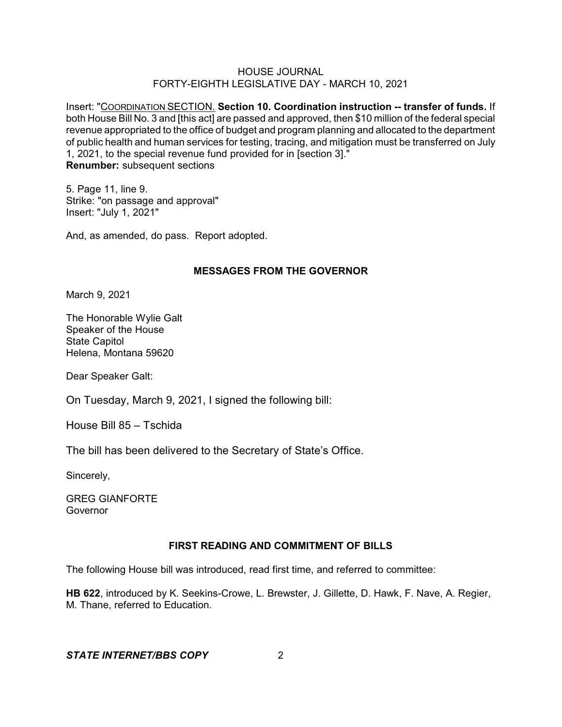Insert: "COORDINATION SECTION. **Section 10. Coordination instruction -- transfer of funds.** If both House Bill No. 3 and [this act] are passed and approved, then \$10 million of the federal special revenue appropriated to the office of budget and program planning and allocated to the department of public health and human services for testing, tracing, and mitigation must be transferred on July 1, 2021, to the special revenue fund provided for in [section 3]." **Renumber:** subsequent sections

5. Page 11, line 9. Strike: "on passage and approval" Insert: "July 1, 2021"

And, as amended, do pass. Report adopted.

# **MESSAGES FROM THE GOVERNOR**

March 9, 2021

The Honorable Wylie Galt Speaker of the House State Capitol Helena, Montana 59620

Dear Speaker Galt:

On Tuesday, March 9, 2021, I signed the following bill:

House Bill 85 – Tschida

The bill has been delivered to the Secretary of State's Office.

Sincerely,

GREG GIANFORTE **Governor** 

# **FIRST READING AND COMMITMENT OF BILLS**

The following House bill was introduced, read first time, and referred to committee:

**HB 622**, introduced by K. Seekins-Crowe, L. Brewster, J. Gillette, D. Hawk, F. Nave, A. Regier, M. Thane, referred to Education.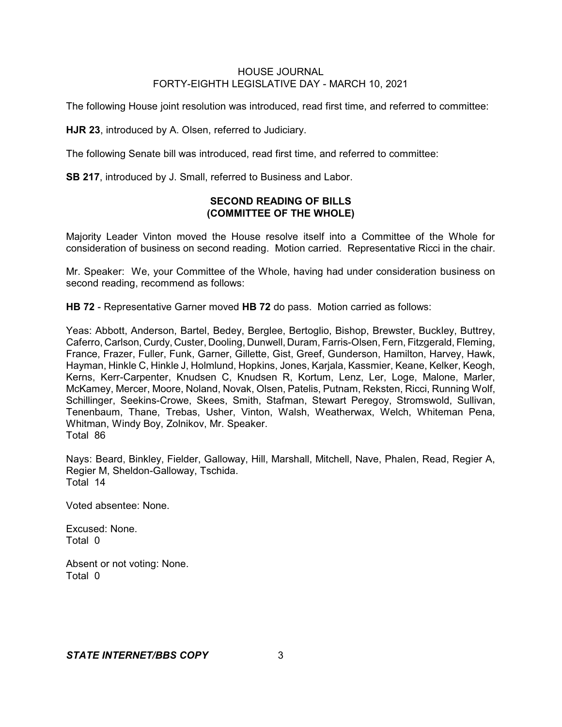The following House joint resolution was introduced, read first time, and referred to committee:

**HJR 23**, introduced by A. Olsen, referred to Judiciary.

The following Senate bill was introduced, read first time, and referred to committee:

**SB 217**, introduced by J. Small, referred to Business and Labor.

# **SECOND READING OF BILLS (COMMITTEE OF THE WHOLE)**

Majority Leader Vinton moved the House resolve itself into a Committee of the Whole for consideration of business on second reading. Motion carried. Representative Ricci in the chair.

Mr. Speaker: We, your Committee of the Whole, having had under consideration business on second reading, recommend as follows:

**HB 72** - Representative Garner moved **HB 72** do pass. Motion carried as follows:

Yeas: Abbott, Anderson, Bartel, Bedey, Berglee, Bertoglio, Bishop, Brewster, Buckley, Buttrey, Caferro, Carlson, Curdy, Custer, Dooling, Dunwell, Duram, Farris-Olsen, Fern, Fitzgerald, Fleming, France, Frazer, Fuller, Funk, Garner, Gillette, Gist, Greef, Gunderson, Hamilton, Harvey, Hawk, Hayman, Hinkle C, Hinkle J, Holmlund, Hopkins, Jones, Karjala, Kassmier, Keane, Kelker, Keogh, Kerns, Kerr-Carpenter, Knudsen C, Knudsen R, Kortum, Lenz, Ler, Loge, Malone, Marler, McKamey, Mercer, Moore, Noland, Novak, Olsen, Patelis, Putnam, Reksten, Ricci, Running Wolf, Schillinger, Seekins-Crowe, Skees, Smith, Stafman, Stewart Peregoy, Stromswold, Sullivan, Tenenbaum, Thane, Trebas, Usher, Vinton, Walsh, Weatherwax, Welch, Whiteman Pena, Whitman, Windy Boy, Zolnikov, Mr. Speaker. Total 86

Nays: Beard, Binkley, Fielder, Galloway, Hill, Marshall, Mitchell, Nave, Phalen, Read, Regier A, Regier M, Sheldon-Galloway, Tschida. Total 14

Voted absentee: None.

Excused: None. Total 0

Absent or not voting: None. Total 0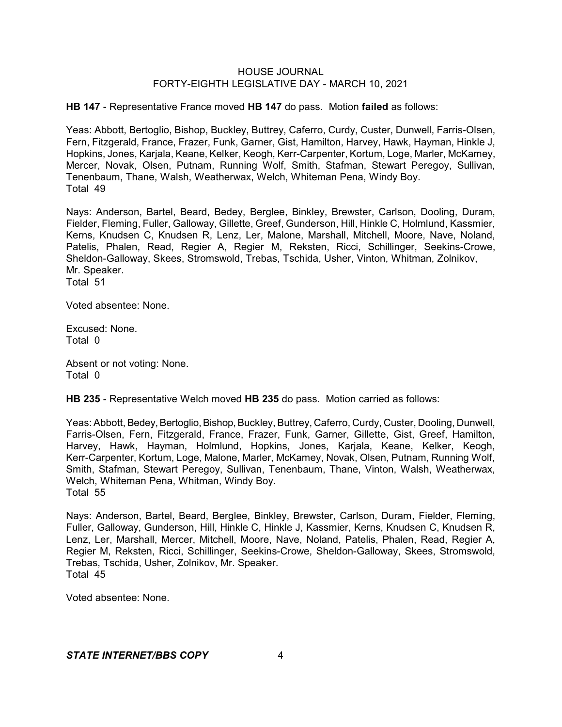**HB 147** - Representative France moved **HB 147** do pass. Motion **failed** as follows:

Yeas: Abbott, Bertoglio, Bishop, Buckley, Buttrey, Caferro, Curdy, Custer, Dunwell, Farris-Olsen, Fern, Fitzgerald, France, Frazer, Funk, Garner, Gist, Hamilton, Harvey, Hawk, Hayman, Hinkle J, Hopkins, Jones, Karjala, Keane, Kelker, Keogh, Kerr-Carpenter, Kortum, Loge, Marler, McKamey, Mercer, Novak, Olsen, Putnam, Running Wolf, Smith, Stafman, Stewart Peregoy, Sullivan, Tenenbaum, Thane, Walsh, Weatherwax, Welch, Whiteman Pena, Windy Boy. Total 49

Nays: Anderson, Bartel, Beard, Bedey, Berglee, Binkley, Brewster, Carlson, Dooling, Duram, Fielder, Fleming, Fuller, Galloway, Gillette, Greef, Gunderson, Hill, Hinkle C, Holmlund, Kassmier, Kerns, Knudsen C, Knudsen R, Lenz, Ler, Malone, Marshall, Mitchell, Moore, Nave, Noland, Patelis, Phalen, Read, Regier A, Regier M, Reksten, Ricci, Schillinger, Seekins-Crowe, Sheldon-Galloway, Skees, Stromswold, Trebas, Tschida, Usher, Vinton, Whitman, Zolnikov, Mr. Speaker. Total 51

Voted absentee: None.

Excused: None. Total 0

Absent or not voting: None. Total 0

**HB 235** - Representative Welch moved **HB 235** do pass. Motion carried as follows:

Yeas: Abbott, Bedey, Bertoglio, Bishop, Buckley, Buttrey, Caferro, Curdy, Custer, Dooling, Dunwell, Farris-Olsen, Fern, Fitzgerald, France, Frazer, Funk, Garner, Gillette, Gist, Greef, Hamilton, Harvey, Hawk, Hayman, Holmlund, Hopkins, Jones, Karjala, Keane, Kelker, Keogh, Kerr-Carpenter, Kortum, Loge, Malone, Marler, McKamey, Novak, Olsen, Putnam, Running Wolf, Smith, Stafman, Stewart Peregoy, Sullivan, Tenenbaum, Thane, Vinton, Walsh, Weatherwax, Welch, Whiteman Pena, Whitman, Windy Boy. Total 55

Nays: Anderson, Bartel, Beard, Berglee, Binkley, Brewster, Carlson, Duram, Fielder, Fleming, Fuller, Galloway, Gunderson, Hill, Hinkle C, Hinkle J, Kassmier, Kerns, Knudsen C, Knudsen R, Lenz, Ler, Marshall, Mercer, Mitchell, Moore, Nave, Noland, Patelis, Phalen, Read, Regier A, Regier M, Reksten, Ricci, Schillinger, Seekins-Crowe, Sheldon-Galloway, Skees, Stromswold, Trebas, Tschida, Usher, Zolnikov, Mr. Speaker. Total 45

Voted absentee: None.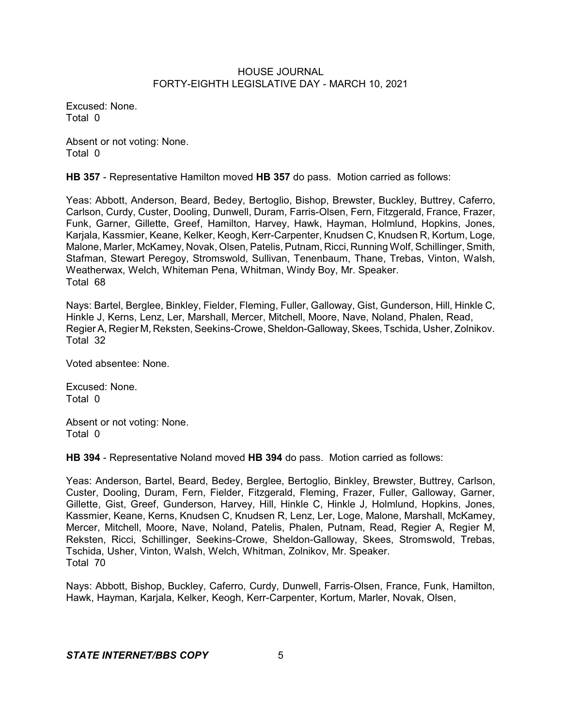Excused: None. Total 0

Absent or not voting: None. Total 0

**HB 357** - Representative Hamilton moved **HB 357** do pass. Motion carried as follows:

Yeas: Abbott, Anderson, Beard, Bedey, Bertoglio, Bishop, Brewster, Buckley, Buttrey, Caferro, Carlson, Curdy, Custer, Dooling, Dunwell, Duram, Farris-Olsen, Fern, Fitzgerald, France, Frazer, Funk, Garner, Gillette, Greef, Hamilton, Harvey, Hawk, Hayman, Holmlund, Hopkins, Jones, Karjala, Kassmier, Keane, Kelker, Keogh, Kerr-Carpenter, Knudsen C, Knudsen R, Kortum, Loge, Malone, Marler, McKamey, Novak, Olsen, Patelis, Putnam, Ricci, Running Wolf, Schillinger, Smith, Stafman, Stewart Peregoy, Stromswold, Sullivan, Tenenbaum, Thane, Trebas, Vinton, Walsh, Weatherwax, Welch, Whiteman Pena, Whitman, Windy Boy, Mr. Speaker. Total 68

Nays: Bartel, Berglee, Binkley, Fielder, Fleming, Fuller, Galloway, Gist, Gunderson, Hill, Hinkle C, Hinkle J, Kerns, Lenz, Ler, Marshall, Mercer, Mitchell, Moore, Nave, Noland, Phalen, Read, Regier A, Regier M, Reksten, Seekins-Crowe, Sheldon-Galloway, Skees, Tschida, Usher, Zolnikov. Total 32

Voted absentee: None.

Excused: None. Total 0

Absent or not voting: None. Total 0

**HB 394** - Representative Noland moved **HB 394** do pass. Motion carried as follows:

Yeas: Anderson, Bartel, Beard, Bedey, Berglee, Bertoglio, Binkley, Brewster, Buttrey, Carlson, Custer, Dooling, Duram, Fern, Fielder, Fitzgerald, Fleming, Frazer, Fuller, Galloway, Garner, Gillette, Gist, Greef, Gunderson, Harvey, Hill, Hinkle C, Hinkle J, Holmlund, Hopkins, Jones, Kassmier, Keane, Kerns, Knudsen C, Knudsen R, Lenz, Ler, Loge, Malone, Marshall, McKamey, Mercer, Mitchell, Moore, Nave, Noland, Patelis, Phalen, Putnam, Read, Regier A, Regier M, Reksten, Ricci, Schillinger, Seekins-Crowe, Sheldon-Galloway, Skees, Stromswold, Trebas, Tschida, Usher, Vinton, Walsh, Welch, Whitman, Zolnikov, Mr. Speaker. Total 70

Nays: Abbott, Bishop, Buckley, Caferro, Curdy, Dunwell, Farris-Olsen, France, Funk, Hamilton, Hawk, Hayman, Karjala, Kelker, Keogh, Kerr-Carpenter, Kortum, Marler, Novak, Olsen,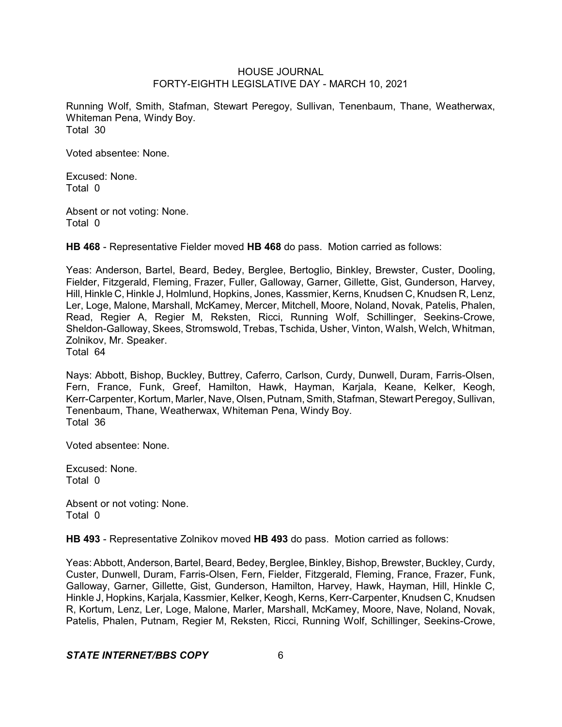Running Wolf, Smith, Stafman, Stewart Peregoy, Sullivan, Tenenbaum, Thane, Weatherwax, Whiteman Pena, Windy Boy. Total 30

Voted absentee: None.

Excused: None. Total 0

Absent or not voting: None. Total 0

**HB 468** - Representative Fielder moved **HB 468** do pass. Motion carried as follows:

Yeas: Anderson, Bartel, Beard, Bedey, Berglee, Bertoglio, Binkley, Brewster, Custer, Dooling, Fielder, Fitzgerald, Fleming, Frazer, Fuller, Galloway, Garner, Gillette, Gist, Gunderson, Harvey, Hill, Hinkle C, Hinkle J, Holmlund, Hopkins, Jones, Kassmier, Kerns, Knudsen C, Knudsen R, Lenz, Ler, Loge, Malone, Marshall, McKamey, Mercer, Mitchell, Moore, Noland, Novak, Patelis, Phalen, Read, Regier A, Regier M, Reksten, Ricci, Running Wolf, Schillinger, Seekins-Crowe, Sheldon-Galloway, Skees, Stromswold, Trebas, Tschida, Usher, Vinton, Walsh, Welch, Whitman, Zolnikov, Mr. Speaker. Total 64

Nays: Abbott, Bishop, Buckley, Buttrey, Caferro, Carlson, Curdy, Dunwell, Duram, Farris-Olsen, Fern, France, Funk, Greef, Hamilton, Hawk, Hayman, Karjala, Keane, Kelker, Keogh, Kerr-Carpenter, Kortum, Marler, Nave, Olsen, Putnam, Smith, Stafman, Stewart Peregoy, Sullivan, Tenenbaum, Thane, Weatherwax, Whiteman Pena, Windy Boy. Total 36

Voted absentee: None.

Excused: None. Total 0

Absent or not voting: None. Total 0

**HB 493** - Representative Zolnikov moved **HB 493** do pass. Motion carried as follows:

Yeas: Abbott, Anderson, Bartel, Beard, Bedey, Berglee, Binkley, Bishop, Brewster, Buckley, Curdy, Custer, Dunwell, Duram, Farris-Olsen, Fern, Fielder, Fitzgerald, Fleming, France, Frazer, Funk, Galloway, Garner, Gillette, Gist, Gunderson, Hamilton, Harvey, Hawk, Hayman, Hill, Hinkle C, Hinkle J, Hopkins, Karjala, Kassmier, Kelker, Keogh, Kerns, Kerr-Carpenter, Knudsen C, Knudsen R, Kortum, Lenz, Ler, Loge, Malone, Marler, Marshall, McKamey, Moore, Nave, Noland, Novak, Patelis, Phalen, Putnam, Regier M, Reksten, Ricci, Running Wolf, Schillinger, Seekins-Crowe,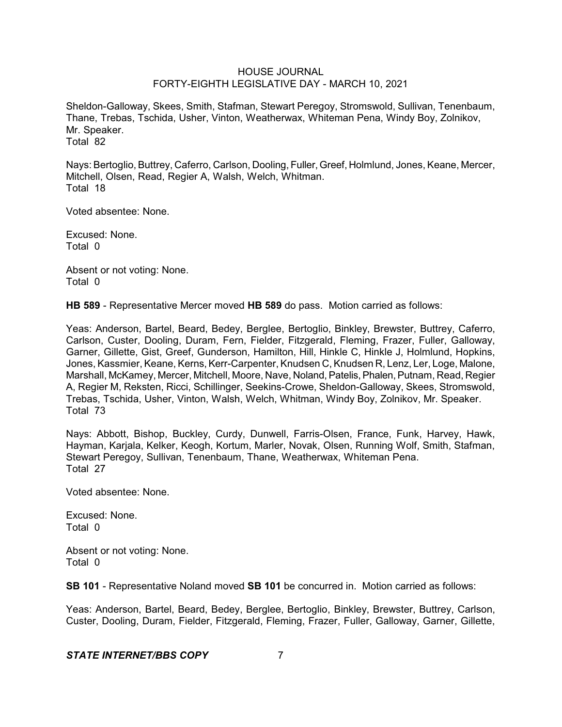Sheldon-Galloway, Skees, Smith, Stafman, Stewart Peregoy, Stromswold, Sullivan, Tenenbaum, Thane, Trebas, Tschida, Usher, Vinton, Weatherwax, Whiteman Pena, Windy Boy, Zolnikov, Mr. Speaker. Total 82

Nays: Bertoglio,Buttrey, Caferro, Carlson, Dooling, Fuller, Greef, Holmlund, Jones, Keane, Mercer, Mitchell, Olsen, Read, Regier A, Walsh, Welch, Whitman. Total 18

Voted absentee: None.

Excused: None. Total 0

Absent or not voting: None. Total 0

**HB 589** - Representative Mercer moved **HB 589** do pass. Motion carried as follows:

Yeas: Anderson, Bartel, Beard, Bedey, Berglee, Bertoglio, Binkley, Brewster, Buttrey, Caferro, Carlson, Custer, Dooling, Duram, Fern, Fielder, Fitzgerald, Fleming, Frazer, Fuller, Galloway, Garner, Gillette, Gist, Greef, Gunderson, Hamilton, Hill, Hinkle C, Hinkle J, Holmlund, Hopkins, Jones, Kassmier, Keane, Kerns, Kerr-Carpenter, Knudsen C, Knudsen R, Lenz, Ler, Loge, Malone, Marshall, McKamey, Mercer, Mitchell, Moore, Nave, Noland, Patelis, Phalen, Putnam, Read, Regier A, Regier M, Reksten, Ricci, Schillinger, Seekins-Crowe, Sheldon-Galloway, Skees, Stromswold, Trebas, Tschida, Usher, Vinton, Walsh, Welch, Whitman, Windy Boy, Zolnikov, Mr. Speaker. Total 73

Nays: Abbott, Bishop, Buckley, Curdy, Dunwell, Farris-Olsen, France, Funk, Harvey, Hawk, Hayman, Karjala, Kelker, Keogh, Kortum, Marler, Novak, Olsen, Running Wolf, Smith, Stafman, Stewart Peregoy, Sullivan, Tenenbaum, Thane, Weatherwax, Whiteman Pena. Total 27

Voted absentee: None.

Excused: None. Total 0

Absent or not voting: None. Total 0

**SB 101** - Representative Noland moved **SB 101** be concurred in. Motion carried as follows:

Yeas: Anderson, Bartel, Beard, Bedey, Berglee, Bertoglio, Binkley, Brewster, Buttrey, Carlson, Custer, Dooling, Duram, Fielder, Fitzgerald, Fleming, Frazer, Fuller, Galloway, Garner, Gillette,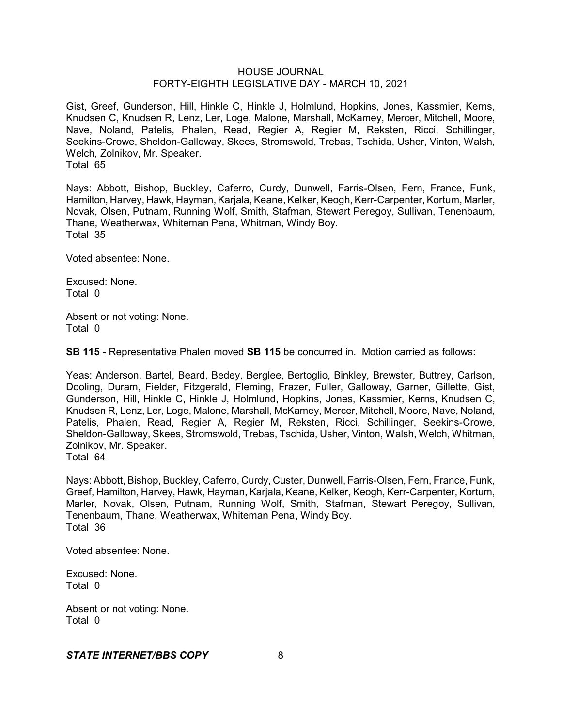Gist, Greef, Gunderson, Hill, Hinkle C, Hinkle J, Holmlund, Hopkins, Jones, Kassmier, Kerns, Knudsen C, Knudsen R, Lenz, Ler, Loge, Malone, Marshall, McKamey, Mercer, Mitchell, Moore, Nave, Noland, Patelis, Phalen, Read, Regier A, Regier M, Reksten, Ricci, Schillinger, Seekins-Crowe, Sheldon-Galloway, Skees, Stromswold, Trebas, Tschida, Usher, Vinton, Walsh, Welch, Zolnikov, Mr. Speaker. Total 65

Nays: Abbott, Bishop, Buckley, Caferro, Curdy, Dunwell, Farris-Olsen, Fern, France, Funk, Hamilton, Harvey, Hawk, Hayman, Karjala, Keane, Kelker, Keogh, Kerr-Carpenter, Kortum, Marler, Novak, Olsen, Putnam, Running Wolf, Smith, Stafman, Stewart Peregoy, Sullivan, Tenenbaum, Thane, Weatherwax, Whiteman Pena, Whitman, Windy Boy. Total 35

Voted absentee: None.

Excused: None. Total 0

Absent or not voting: None. Total 0

**SB 115** - Representative Phalen moved **SB 115** be concurred in. Motion carried as follows:

Yeas: Anderson, Bartel, Beard, Bedey, Berglee, Bertoglio, Binkley, Brewster, Buttrey, Carlson, Dooling, Duram, Fielder, Fitzgerald, Fleming, Frazer, Fuller, Galloway, Garner, Gillette, Gist, Gunderson, Hill, Hinkle C, Hinkle J, Holmlund, Hopkins, Jones, Kassmier, Kerns, Knudsen C, Knudsen R, Lenz, Ler, Loge, Malone, Marshall, McKamey, Mercer, Mitchell, Moore, Nave, Noland, Patelis, Phalen, Read, Regier A, Regier M, Reksten, Ricci, Schillinger, Seekins-Crowe, Sheldon-Galloway, Skees, Stromswold, Trebas, Tschida, Usher, Vinton, Walsh, Welch, Whitman, Zolnikov, Mr. Speaker. Total 64

Nays: Abbott, Bishop, Buckley, Caferro, Curdy, Custer, Dunwell, Farris-Olsen, Fern, France, Funk, Greef, Hamilton, Harvey, Hawk, Hayman, Karjala, Keane, Kelker, Keogh, Kerr-Carpenter, Kortum, Marler, Novak, Olsen, Putnam, Running Wolf, Smith, Stafman, Stewart Peregoy, Sullivan, Tenenbaum, Thane, Weatherwax, Whiteman Pena, Windy Boy. Total 36

Voted absentee: None.

Excused: None. Total 0

Absent or not voting: None. Total 0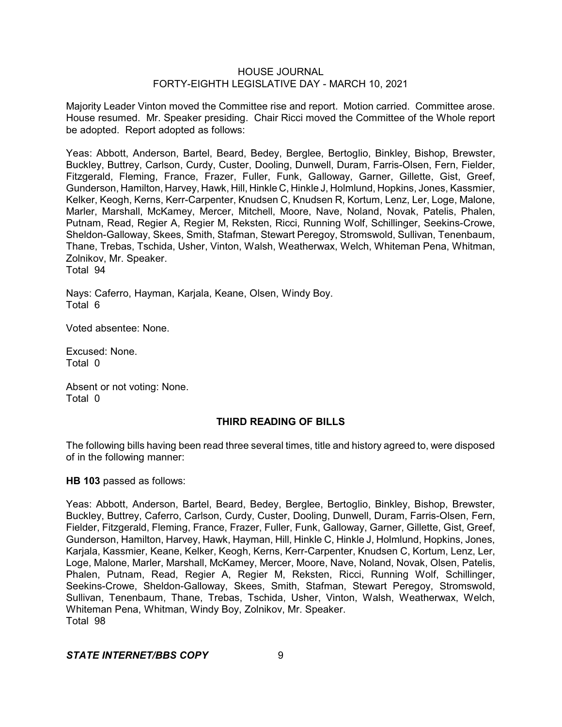Majority Leader Vinton moved the Committee rise and report. Motion carried. Committee arose. House resumed. Mr. Speaker presiding. Chair Ricci moved the Committee of the Whole report be adopted. Report adopted as follows:

Yeas: Abbott, Anderson, Bartel, Beard, Bedey, Berglee, Bertoglio, Binkley, Bishop, Brewster, Buckley, Buttrey, Carlson, Curdy, Custer, Dooling, Dunwell, Duram, Farris-Olsen, Fern, Fielder, Fitzgerald, Fleming, France, Frazer, Fuller, Funk, Galloway, Garner, Gillette, Gist, Greef, Gunderson, Hamilton, Harvey, Hawk, Hill, Hinkle C, Hinkle J, Holmlund, Hopkins, Jones, Kassmier, Kelker, Keogh, Kerns, Kerr-Carpenter, Knudsen C, Knudsen R, Kortum, Lenz, Ler, Loge, Malone, Marler, Marshall, McKamey, Mercer, Mitchell, Moore, Nave, Noland, Novak, Patelis, Phalen, Putnam, Read, Regier A, Regier M, Reksten, Ricci, Running Wolf, Schillinger, Seekins-Crowe, Sheldon-Galloway, Skees, Smith, Stafman, Stewart Peregoy, Stromswold, Sullivan, Tenenbaum, Thane, Trebas, Tschida, Usher, Vinton, Walsh, Weatherwax, Welch, Whiteman Pena, Whitman, Zolnikov, Mr. Speaker. Total 94

Nays: Caferro, Hayman, Karjala, Keane, Olsen, Windy Boy. Total 6

Voted absentee: None.

Excused: None. Total 0

Absent or not voting: None. Total 0

# **THIRD READING OF BILLS**

The following bills having been read three several times, title and history agreed to, were disposed of in the following manner:

# **HB 103** passed as follows:

Yeas: Abbott, Anderson, Bartel, Beard, Bedey, Berglee, Bertoglio, Binkley, Bishop, Brewster, Buckley, Buttrey, Caferro, Carlson, Curdy, Custer, Dooling, Dunwell, Duram, Farris-Olsen, Fern, Fielder, Fitzgerald, Fleming, France, Frazer, Fuller, Funk, Galloway, Garner, Gillette, Gist, Greef, Gunderson, Hamilton, Harvey, Hawk, Hayman, Hill, Hinkle C, Hinkle J, Holmlund, Hopkins, Jones, Karjala, Kassmier, Keane, Kelker, Keogh, Kerns, Kerr-Carpenter, Knudsen C, Kortum, Lenz, Ler, Loge, Malone, Marler, Marshall, McKamey, Mercer, Moore, Nave, Noland, Novak, Olsen, Patelis, Phalen, Putnam, Read, Regier A, Regier M, Reksten, Ricci, Running Wolf, Schillinger, Seekins-Crowe, Sheldon-Galloway, Skees, Smith, Stafman, Stewart Peregoy, Stromswold, Sullivan, Tenenbaum, Thane, Trebas, Tschida, Usher, Vinton, Walsh, Weatherwax, Welch, Whiteman Pena, Whitman, Windy Boy, Zolnikov, Mr. Speaker. Total 98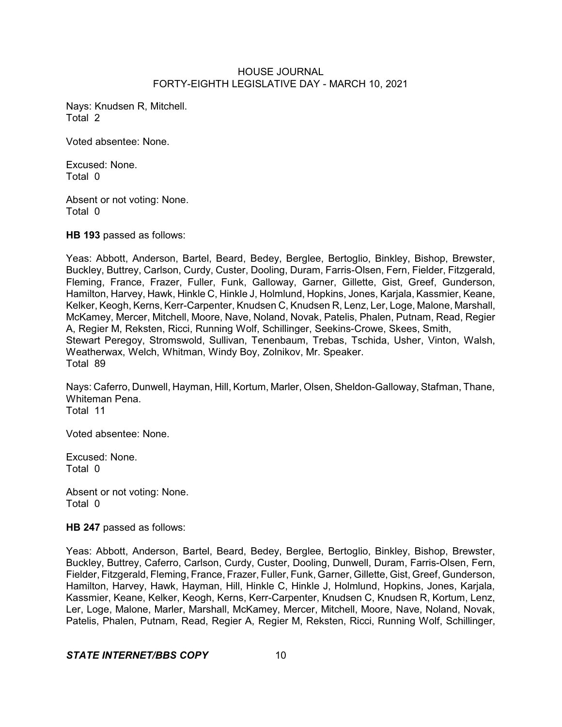Nays: Knudsen R, Mitchell. Total 2

Voted absentee: None.

Excused: None. Total 0

Absent or not voting: None. Total 0

**HB 193** passed as follows:

Yeas: Abbott, Anderson, Bartel, Beard, Bedey, Berglee, Bertoglio, Binkley, Bishop, Brewster, Buckley, Buttrey, Carlson, Curdy, Custer, Dooling, Duram, Farris-Olsen, Fern, Fielder, Fitzgerald, Fleming, France, Frazer, Fuller, Funk, Galloway, Garner, Gillette, Gist, Greef, Gunderson, Hamilton, Harvey, Hawk, Hinkle C, Hinkle J, Holmlund, Hopkins, Jones, Karjala, Kassmier, Keane, Kelker, Keogh, Kerns, Kerr-Carpenter, Knudsen C, Knudsen R, Lenz, Ler, Loge, Malone, Marshall, McKamey, Mercer, Mitchell, Moore, Nave, Noland, Novak, Patelis, Phalen, Putnam, Read, Regier A, Regier M, Reksten, Ricci, Running Wolf, Schillinger, Seekins-Crowe, Skees, Smith, Stewart Peregoy, Stromswold, Sullivan, Tenenbaum, Trebas, Tschida, Usher, Vinton, Walsh, Weatherwax, Welch, Whitman, Windy Boy, Zolnikov, Mr. Speaker. Total 89

Nays: Caferro, Dunwell, Hayman, Hill, Kortum, Marler, Olsen, Sheldon-Galloway, Stafman, Thane, Whiteman Pena. Total 11

Voted absentee: None.

Excused: None. Total 0

Absent or not voting: None. Total 0

**HB 247** passed as follows:

Yeas: Abbott, Anderson, Bartel, Beard, Bedey, Berglee, Bertoglio, Binkley, Bishop, Brewster, Buckley, Buttrey, Caferro, Carlson, Curdy, Custer, Dooling, Dunwell, Duram, Farris-Olsen, Fern, Fielder, Fitzgerald, Fleming, France, Frazer, Fuller, Funk, Garner, Gillette, Gist, Greef, Gunderson, Hamilton, Harvey, Hawk, Hayman, Hill, Hinkle C, Hinkle J, Holmlund, Hopkins, Jones, Karjala, Kassmier, Keane, Kelker, Keogh, Kerns, Kerr-Carpenter, Knudsen C, Knudsen R, Kortum, Lenz, Ler, Loge, Malone, Marler, Marshall, McKamey, Mercer, Mitchell, Moore, Nave, Noland, Novak, Patelis, Phalen, Putnam, Read, Regier A, Regier M, Reksten, Ricci, Running Wolf, Schillinger,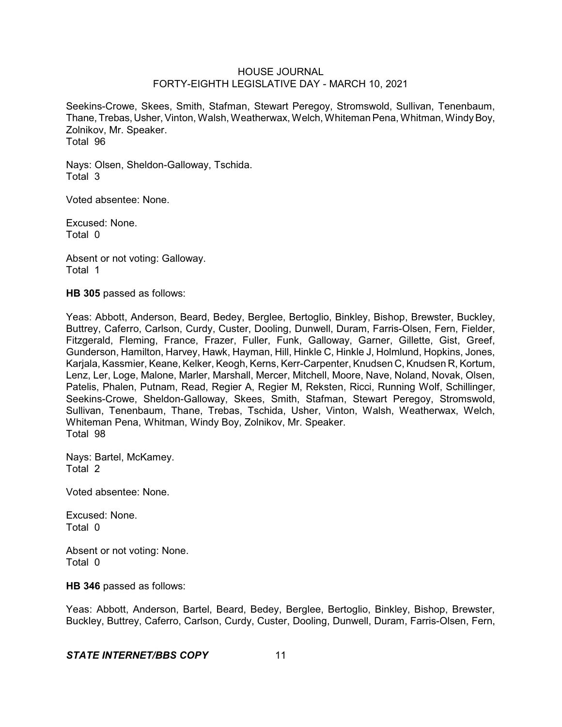Seekins-Crowe, Skees, Smith, Stafman, Stewart Peregoy, Stromswold, Sullivan, Tenenbaum, Thane, Trebas, Usher, Vinton, Walsh, Weatherwax, Welch, Whiteman Pena, Whitman, Windy Boy, Zolnikov, Mr. Speaker. Total 96

Nays: Olsen, Sheldon-Galloway, Tschida. Total 3

Voted absentee: None.

Excused: None. Total 0

Absent or not voting: Galloway. Total 1

**HB 305** passed as follows:

Yeas: Abbott, Anderson, Beard, Bedey, Berglee, Bertoglio, Binkley, Bishop, Brewster, Buckley, Buttrey, Caferro, Carlson, Curdy, Custer, Dooling, Dunwell, Duram, Farris-Olsen, Fern, Fielder, Fitzgerald, Fleming, France, Frazer, Fuller, Funk, Galloway, Garner, Gillette, Gist, Greef, Gunderson, Hamilton, Harvey, Hawk, Hayman, Hill, Hinkle C, Hinkle J, Holmlund, Hopkins, Jones, Karjala, Kassmier, Keane, Kelker, Keogh, Kerns, Kerr-Carpenter, Knudsen C, Knudsen R, Kortum, Lenz, Ler, Loge, Malone, Marler, Marshall, Mercer, Mitchell, Moore, Nave, Noland, Novak, Olsen, Patelis, Phalen, Putnam, Read, Regier A, Regier M, Reksten, Ricci, Running Wolf, Schillinger, Seekins-Crowe, Sheldon-Galloway, Skees, Smith, Stafman, Stewart Peregoy, Stromswold, Sullivan, Tenenbaum, Thane, Trebas, Tschida, Usher, Vinton, Walsh, Weatherwax, Welch, Whiteman Pena, Whitman, Windy Boy, Zolnikov, Mr. Speaker. Total 98

Nays: Bartel, McKamey. Total 2

Voted absentee: None.

Excused: None. Total 0

Absent or not voting: None. Total 0

**HB 346** passed as follows:

Yeas: Abbott, Anderson, Bartel, Beard, Bedey, Berglee, Bertoglio, Binkley, Bishop, Brewster, Buckley, Buttrey, Caferro, Carlson, Curdy, Custer, Dooling, Dunwell, Duram, Farris-Olsen, Fern,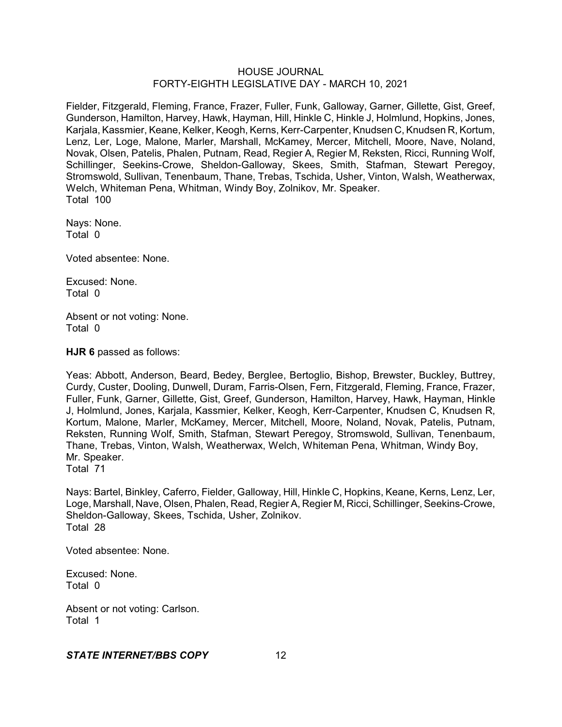Fielder, Fitzgerald, Fleming, France, Frazer, Fuller, Funk, Galloway, Garner, Gillette, Gist, Greef, Gunderson, Hamilton, Harvey, Hawk, Hayman, Hill, Hinkle C, Hinkle J, Holmlund, Hopkins, Jones, Karjala, Kassmier, Keane, Kelker, Keogh, Kerns, Kerr-Carpenter, Knudsen C, Knudsen R, Kortum, Lenz, Ler, Loge, Malone, Marler, Marshall, McKamey, Mercer, Mitchell, Moore, Nave, Noland, Novak, Olsen, Patelis, Phalen, Putnam, Read, Regier A, Regier M, Reksten, Ricci, Running Wolf, Schillinger, Seekins-Crowe, Sheldon-Galloway, Skees, Smith, Stafman, Stewart Peregoy, Stromswold, Sullivan, Tenenbaum, Thane, Trebas, Tschida, Usher, Vinton, Walsh, Weatherwax, Welch, Whiteman Pena, Whitman, Windy Boy, Zolnikov, Mr. Speaker. Total 100

Nays: None. Total 0

Voted absentee: None.

Excused: None. Total 0

Absent or not voting: None. Total 0

**HJR 6** passed as follows:

Yeas: Abbott, Anderson, Beard, Bedey, Berglee, Bertoglio, Bishop, Brewster, Buckley, Buttrey, Curdy, Custer, Dooling, Dunwell, Duram, Farris-Olsen, Fern, Fitzgerald, Fleming, France, Frazer, Fuller, Funk, Garner, Gillette, Gist, Greef, Gunderson, Hamilton, Harvey, Hawk, Hayman, Hinkle J, Holmlund, Jones, Karjala, Kassmier, Kelker, Keogh, Kerr-Carpenter, Knudsen C, Knudsen R, Kortum, Malone, Marler, McKamey, Mercer, Mitchell, Moore, Noland, Novak, Patelis, Putnam, Reksten, Running Wolf, Smith, Stafman, Stewart Peregoy, Stromswold, Sullivan, Tenenbaum, Thane, Trebas, Vinton, Walsh, Weatherwax, Welch, Whiteman Pena, Whitman, Windy Boy, Mr. Speaker. Total 71

Nays: Bartel, Binkley, Caferro, Fielder, Galloway, Hill, Hinkle C, Hopkins, Keane, Kerns, Lenz, Ler, Loge, Marshall, Nave, Olsen, Phalen, Read, Regier A, Regier M, Ricci, Schillinger, Seekins-Crowe, Sheldon-Galloway, Skees, Tschida, Usher, Zolnikov. Total 28

Voted absentee: None.

Excused: None. Total 0

Absent or not voting: Carlson. Total 1